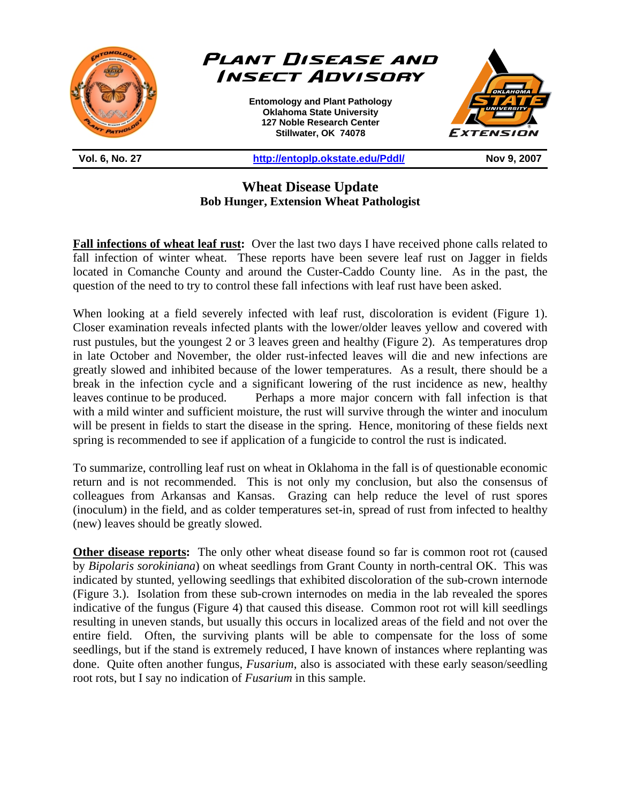

**Wheat Disease Update Bob Hunger, Extension Wheat Pathologist** 

**Fall infections of wheat leaf rust:** Over the last two days I have received phone calls related to fall infection of winter wheat. These reports have been severe leaf rust on Jagger in fields located in Comanche County and around the Custer-Caddo County line. As in the past, the question of the need to try to control these fall infections with leaf rust have been asked.

When looking at a field severely infected with leaf rust, discoloration is evident (Figure 1). Closer examination reveals infected plants with the lower/older leaves yellow and covered with rust pustules, but the youngest 2 or 3 leaves green and healthy (Figure 2). As temperatures drop in late October and November, the older rust-infected leaves will die and new infections are greatly slowed and inhibited because of the lower temperatures. As a result, there should be a break in the infection cycle and a significant lowering of the rust incidence as new, healthy leaves continue to be produced. Perhaps a more major concern with fall infection is that with a mild winter and sufficient moisture, the rust will survive through the winter and inoculum will be present in fields to start the disease in the spring. Hence, monitoring of these fields next spring is recommended to see if application of a fungicide to control the rust is indicated.

To summarize, controlling leaf rust on wheat in Oklahoma in the fall is of questionable economic return and is not recommended. This is not only my conclusion, but also the consensus of colleagues from Arkansas and Kansas. Grazing can help reduce the level of rust spores (inoculum) in the field, and as colder temperatures set-in, spread of rust from infected to healthy (new) leaves should be greatly slowed.

**Other disease reports:** The only other wheat disease found so far is common root rot (caused by *Bipolaris sorokiniana*) on wheat seedlings from Grant County in north-central OK. This was indicated by stunted, yellowing seedlings that exhibited discoloration of the sub-crown internode (Figure 3.). Isolation from these sub-crown internodes on media in the lab revealed the spores indicative of the fungus (Figure 4) that caused this disease. Common root rot will kill seedlings resulting in uneven stands, but usually this occurs in localized areas of the field and not over the entire field. Often, the surviving plants will be able to compensate for the loss of some seedlings, but if the stand is extremely reduced, I have known of instances where replanting was done. Quite often another fungus, *Fusarium*, also is associated with these early season/seedling root rots, but I say no indication of *Fusarium* in this sample.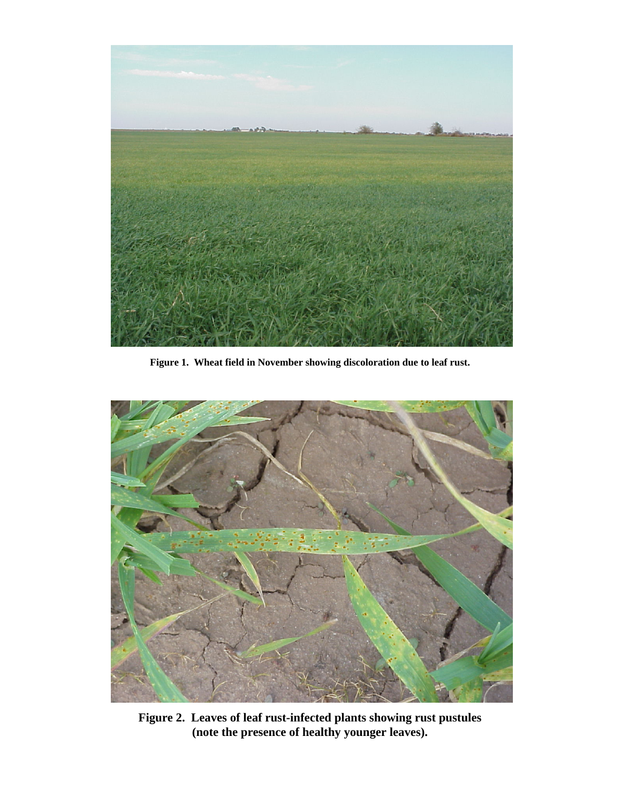

**Figure 1. Wheat field in November showing discoloration due to leaf rust.** 



**Figure 2. Leaves of leaf rust-infected plants showing rust pustules (note the presence of healthy younger leaves).**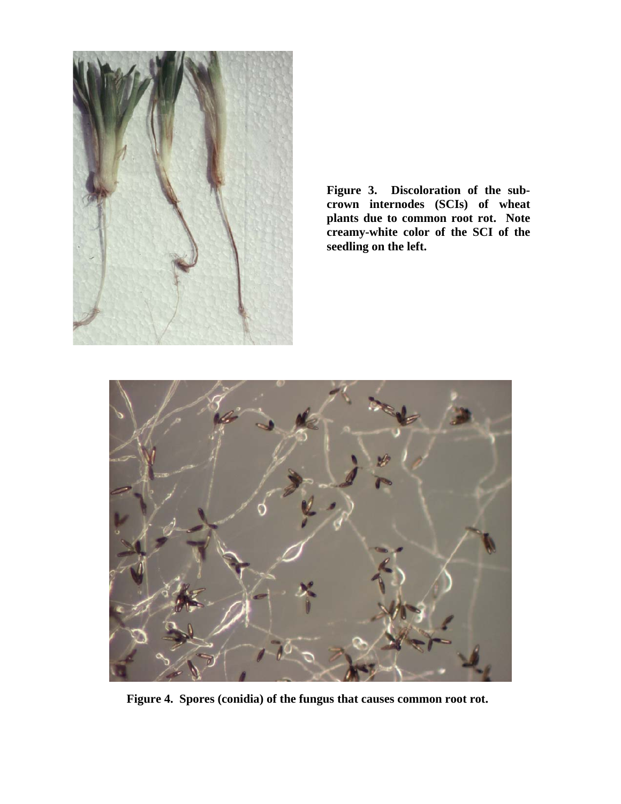

**Figure 3. Discoloration of the subcrown internodes (SCIs) of wheat plants due to common root rot. Note creamy-white color of the SCI of the seedling on the left.** 



**Figure 4. Spores (conidia) of the fungus that causes common root rot.**